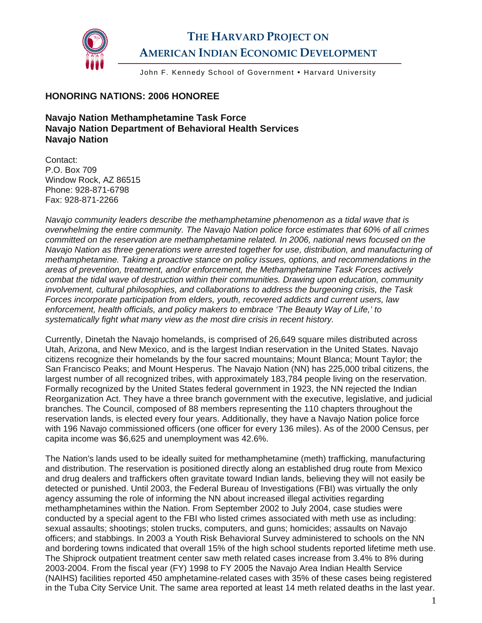

## **THE HARVARD PROJECT ON AMERICAN INDIAN ECONOMIC DEVELOPMENT**

John F. Kennedy School of Government • Harvard University

## **HONORING NATIONS: 2006 HONOREE**

**Navajo Nation Methamphetamine Task Force Navajo Nation Department of Behavioral Health Services Navajo Nation** 

Contact: P.O. Box 709 Window Rock, AZ 86515 Phone: 928-871-6798 Fax: 928-871-2266

*Navajo community leaders describe the methamphetamine phenomenon as a tidal wave that is overwhelming the entire community. The Navajo Nation police force estimates that 60% of all crimes committed on the reservation are methamphetamine related. In 2006, national news focused on the Navajo Nation as three generations were arrested together for use, distribution, and manufacturing of methamphetamine. Taking a proactive stance on policy issues, options, and recommendations in the areas of prevention, treatment, and/or enforcement, the Methamphetamine Task Forces actively combat the tidal wave of destruction within their communities. Drawing upon education, community involvement, cultural philosophies, and collaborations to address the burgeoning crisis, the Task Forces incorporate participation from elders, youth, recovered addicts and current users, law enforcement, health officials, and policy makers to embrace 'The Beauty Way of Life,' to systematically fight what many view as the most dire crisis in recent history.* 

Currently, Dinetah the Navajo homelands, is comprised of 26,649 square miles distributed across Utah, Arizona, and New Mexico, and is the largest Indian reservation in the United States. Navajo citizens recognize their homelands by the four sacred mountains; Mount Blanca; Mount Taylor; the San Francisco Peaks; and Mount Hesperus. The Navajo Nation (NN) has 225,000 tribal citizens, the largest number of all recognized tribes, with approximately 183,784 people living on the reservation. Formally recognized by the United States federal government in 1923, the NN rejected the Indian Reorganization Act. They have a three branch government with the executive, legislative, and judicial branches. The Council, composed of 88 members representing the 110 chapters throughout the reservation lands, is elected every four years. Additionally, they have a Navajo Nation police force with 196 Navajo commissioned officers (one officer for every 136 miles). As of the 2000 Census, per capita income was \$6,625 and unemployment was 42.6%.

The Nation's lands used to be ideally suited for methamphetamine (meth) trafficking, manufacturing and distribution. The reservation is positioned directly along an established drug route from Mexico and drug dealers and traffickers often gravitate toward Indian lands, believing they will not easily be detected or punished. Until 2003, the Federal Bureau of Investigations (FBI) was virtually the only agency assuming the role of informing the NN about increased illegal activities regarding methamphetamines within the Nation. From September 2002 to July 2004, case studies were conducted by a special agent to the FBI who listed crimes associated with meth use as including: sexual assaults; shootings; stolen trucks, computers, and guns; homicides; assaults on Navajo officers; and stabbings. In 2003 a Youth Risk Behavioral Survey administered to schools on the NN and bordering towns indicated that overall 15% of the high school students reported lifetime meth use. The Shiprock outpatient treatment center saw meth related cases increase from 3.4% to 8% during 2003-2004. From the fiscal year (FY) 1998 to FY 2005 the Navajo Area Indian Health Service (NAIHS) facilities reported 450 amphetamine-related cases with 35% of these cases being registered in the Tuba City Service Unit. The same area reported at least 14 meth related deaths in the last year.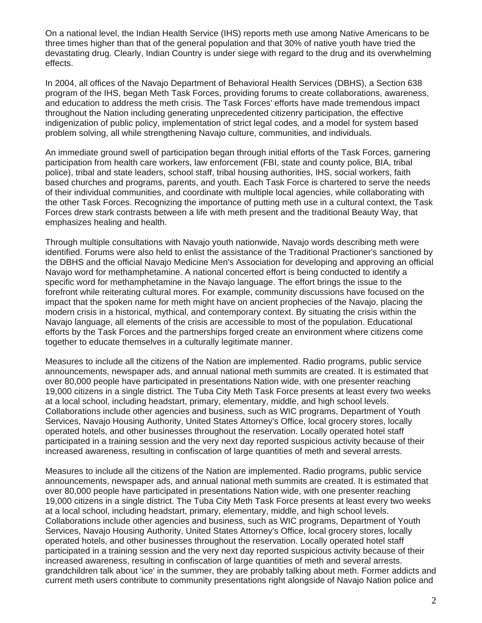On a national level, the Indian Health Service (IHS) reports meth use among Native Americans to be three times higher than that of the general population and that 30% of native youth have tried the devastating drug. Clearly, Indian Country is under siege with regard to the drug and its overwhelming effects.

In 2004, all offices of the Navajo Department of Behavioral Health Services (DBHS), a Section 638 program of the IHS, began Meth Task Forces, providing forums to create collaborations, awareness, and education to address the meth crisis. The Task Forces' efforts have made tremendous impact throughout the Nation including generating unprecedented citizenry participation, the effective indigenization of public policy, implementation of strict legal codes, and a model for system based problem solving, all while strengthening Navajo culture, communities, and individuals.

An immediate ground swell of participation began through initial efforts of the Task Forces, garnering participation from health care workers, law enforcement (FBI, state and county police, BIA, tribal police), tribal and state leaders, school staff, tribal housing authorities, IHS, social workers, faith based churches and programs, parents, and youth. Each Task Force is chartered to serve the needs of their individual communities, and coordinate with multiple local agencies, while collaborating with the other Task Forces. Recognizing the importance of putting meth use in a cultural context, the Task Forces drew stark contrasts between a life with meth present and the traditional Beauty Way, that emphasizes healing and health.

Through multiple consultations with Navajo youth nationwide, Navajo words describing meth were identified. Forums were also held to enlist the assistance of the Traditional Practioner's sanctioned by the DBHS and the official Navajo Medicine Men's Association for developing and approving an official Navajo word for methamphetamine. A national concerted effort is being conducted to identify a specific word for methamphetamine in the Navajo language. The effort brings the issue to the forefront while reiterating cultural mores. For example, community discussions have focused on the impact that the spoken name for meth might have on ancient prophecies of the Navajo, placing the modern crisis in a historical, mythical, and contemporary context. By situating the crisis within the Navajo language, all elements of the crisis are accessible to most of the population. Educational efforts by the Task Forces and the partnerships forged create an environment where citizens come together to educate themselves in a culturally legitimate manner.

Measures to include all the citizens of the Nation are implemented. Radio programs, public service announcements, newspaper ads, and annual national meth summits are created. It is estimated that over 80,000 people have participated in presentations Nation wide, with one presenter reaching 19,000 citizens in a single district. The Tuba City Meth Task Force presents at least every two weeks at a local school, including headstart, primary, elementary, middle, and high school levels. Collaborations include other agencies and business, such as WIC programs, Department of Youth Services, Navajo Housing Authority, United States Attorney's Office, local grocery stores, locally operated hotels, and other businesses throughout the reservation. Locally operated hotel staff participated in a training session and the very next day reported suspicious activity because of their increased awareness, resulting in confiscation of large quantities of meth and several arrests.

Measures to include all the citizens of the Nation are implemented. Radio programs, public service announcements, newspaper ads, and annual national meth summits are created. It is estimated that over 80,000 people have participated in presentations Nation wide, with one presenter reaching 19,000 citizens in a single district. The Tuba City Meth Task Force presents at least every two weeks at a local school, including headstart, primary, elementary, middle, and high school levels. Collaborations include other agencies and business, such as WIC programs, Department of Youth Services, Navajo Housing Authority, United States Attorney's Office, local grocery stores, locally operated hotels, and other businesses throughout the reservation. Locally operated hotel staff participated in a training session and the very next day reported suspicious activity because of their increased awareness, resulting in confiscation of large quantities of meth and several arrests. grandchildren talk about 'ice' in the summer, they are probably talking about meth. Former addicts and current meth users contribute to community presentations right alongside of Navajo Nation police and